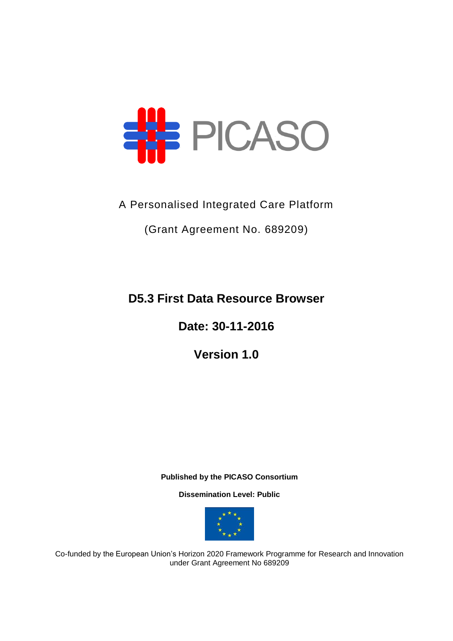

A Personalised Integrated Care Platform

(Grant Agreement No. 689209)

**D5.3 First Data Resource Browser**

**Date: 30-11-2016**

**Version 1.0**

**Published by the PICASO Consortium** 

**Dissemination Level: Public**



Co-funded by the European Union's Horizon 2020 Framework Programme for Research and Innovation under Grant Agreement No 689209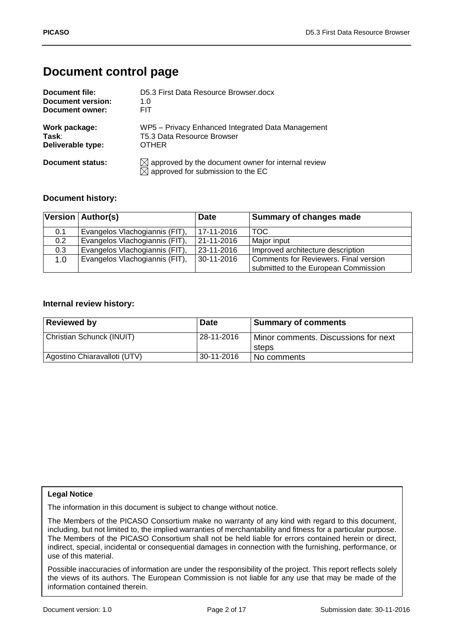# **Document control page**

| Document file:    | D5.3 First Data Resource Browser.docx                                                                           |
|-------------------|-----------------------------------------------------------------------------------------------------------------|
| Document version: | 1. $\Omega$                                                                                                     |
| Document owner:   | <b>FIT</b>                                                                                                      |
| Work package:     | WP5 - Privacy Enhanced Integrated Data Management                                                               |
| Task:             | T5.3 Data Resource Browser                                                                                      |
| Deliverable type: | <b>OTHER</b>                                                                                                    |
| Document status:  | $\boxtimes$ approved by the document owner for internal review<br>$\boxtimes$ approved for submission to the EC |

### **Document history:**

|                  | Version   Author(s)            | <b>Date</b>    | <b>Summary of changes made</b>        |
|------------------|--------------------------------|----------------|---------------------------------------|
| 0.1              | Evangelos Vlachogiannis (FIT), | 17-11-2016     | TOC                                   |
| 0.2 <sub>0</sub> | Evangelos Vlachogiannis (FIT), | 21-11-2016     | Major input                           |
| 0.3              | Evangelos Vlachogiannis (FIT), | 23-11-2016     | Improved architecture description     |
| 1.0              | Evangelos Vlachogiannis (FIT), | $ 30-11-2016 $ | Comments for Reviewers. Final version |
|                  |                                |                | submitted to the European Commission  |

#### **Internal review history:**

| <b>Reviewed by</b>           | <b>Date</b> | <b>Summary of comments</b>                    |
|------------------------------|-------------|-----------------------------------------------|
| Christian Schunck (INUIT)    | 28-11-2016  | Minor comments. Discussions for next<br>steps |
| Agostino Chiaravalloti (UTV) | 30-11-2016  | No comments                                   |

#### **Legal Notice**

The information in this document is subject to change without notice.

The Members of the PICASO Consortium make no warranty of any kind with regard to this document, including, but not limited to, the implied warranties of merchantability and fitness for a particular purpose. The Members of the PICASO Consortium shall not be held liable for errors contained herein or direct, indirect, special, incidental or consequential damages in connection with the furnishing, performance, or use of this material.

Possible inaccuracies of information are under the responsibility of the project. This report reflects solely the views of its authors. The European Commission is not liable for any use that may be made of the information contained therein.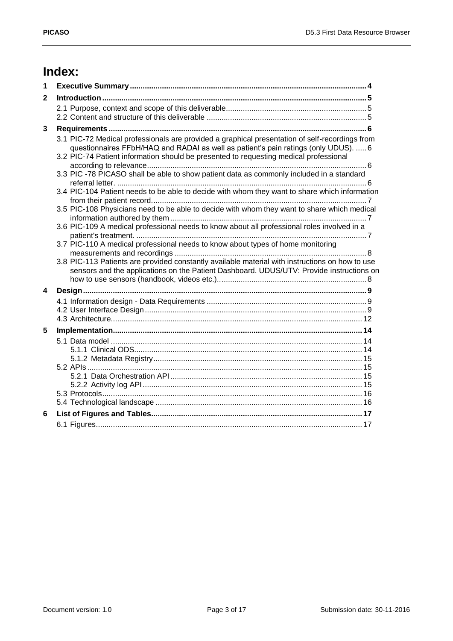# **Index:**

| 1                       |                                                                                                                                                                                                                                                                                |  |
|-------------------------|--------------------------------------------------------------------------------------------------------------------------------------------------------------------------------------------------------------------------------------------------------------------------------|--|
| $\mathbf{2}$            |                                                                                                                                                                                                                                                                                |  |
|                         |                                                                                                                                                                                                                                                                                |  |
|                         |                                                                                                                                                                                                                                                                                |  |
| 3                       |                                                                                                                                                                                                                                                                                |  |
|                         | 3.1 PIC-72 Medical professionals are provided a graphical presentation of self-recordings from<br>questionnaires FFbH/HAQ and RADAI as well as patient's pain ratings (only UDUS).  6<br>3.2 PIC-74 Patient information should be presented to requesting medical professional |  |
|                         | 3.3 PIC -78 PICASO shall be able to show patient data as commonly included in a standard                                                                                                                                                                                       |  |
|                         | 3.4 PIC-104 Patient needs to be able to decide with whom they want to share which information                                                                                                                                                                                  |  |
|                         | 3.5 PIC-108 Physicians need to be able to decide with whom they want to share which medical                                                                                                                                                                                    |  |
|                         | 3.6 PIC-109 A medical professional needs to know about all professional roles involved in a                                                                                                                                                                                    |  |
|                         | 3.7 PIC-110 A medical professional needs to know about types of home monitoring                                                                                                                                                                                                |  |
|                         | 3.8 PIC-113 Patients are provided constantly available material with instructions on how to use<br>sensors and the applications on the Patient Dashboard. UDUS/UTV: Provide instructions on                                                                                    |  |
| $\overline{\mathbf{4}}$ |                                                                                                                                                                                                                                                                                |  |
|                         |                                                                                                                                                                                                                                                                                |  |
| 5                       |                                                                                                                                                                                                                                                                                |  |
|                         |                                                                                                                                                                                                                                                                                |  |
|                         |                                                                                                                                                                                                                                                                                |  |
|                         |                                                                                                                                                                                                                                                                                |  |
|                         |                                                                                                                                                                                                                                                                                |  |
| 6                       |                                                                                                                                                                                                                                                                                |  |
|                         |                                                                                                                                                                                                                                                                                |  |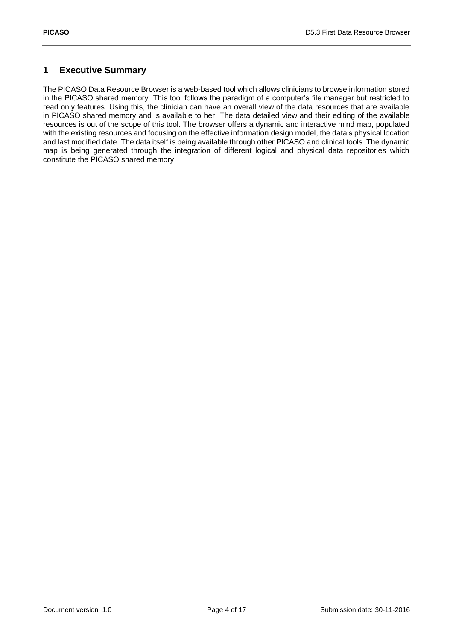## <span id="page-3-0"></span>**1 Executive Summary**

The PICASO Data Resource Browser is a web-based tool which allows clinicians to browse information stored in the PICASO shared memory. This tool follows the paradigm of a computer's file manager but restricted to read only features. Using this, the clinician can have an overall view of the data resources that are available in PICASO shared memory and is available to her. The data detailed view and their editing of the available resources is out of the scope of this tool. The browser offers a dynamic and interactive mind map, populated with the existing resources and focusing on the effective information design model, the data's physical location and last modified date. The data itself is being available through other PICASO and clinical tools. The dynamic map is being generated through the integration of different logical and physical data repositories which constitute the PICASO shared memory.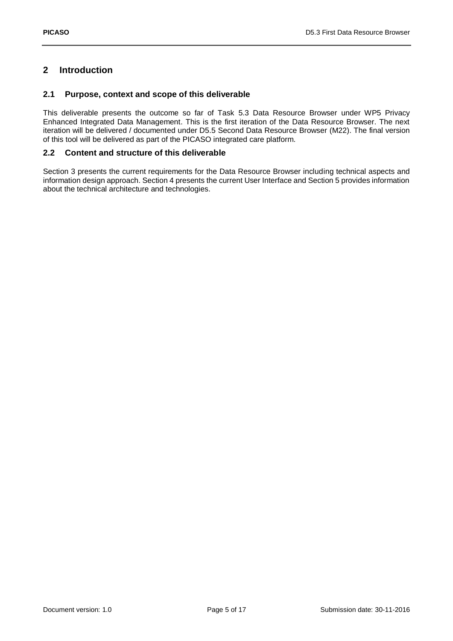# <span id="page-4-0"></span>**2 Introduction**

#### <span id="page-4-1"></span>**2.1 Purpose, context and scope of this deliverable**

This deliverable presents the outcome so far of Task 5.3 Data Resource Browser under WP5 Privacy Enhanced Integrated Data Management. This is the first iteration of the Data Resource Browser. The next iteration will be delivered / documented under D5.5 Second Data Resource Browser (M22). The final version of this tool will be delivered as part of the PICASO integrated care platform.

#### <span id="page-4-2"></span>**2.2 Content and structure of this deliverable**

Section 3 presents the current requirements for the Data Resource Browser including technical aspects and information design approach. Section 4 presents the current User Interface and Section 5 provides information about the technical architecture and technologies.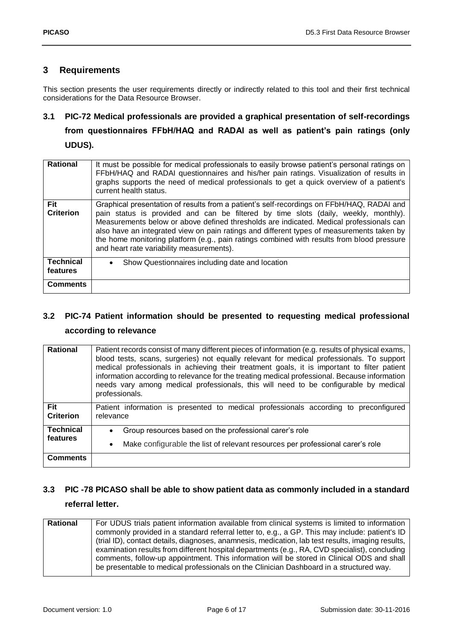### <span id="page-5-0"></span>**3 Requirements**

This section presents the user requirements directly or indirectly related to this tool and their first technical considerations for the Data Resource Browser.

# <span id="page-5-1"></span>**3.1 PIC-72 Medical professionals are provided a graphical presentation of self-recordings from questionnaires FFbH/HAQ and RADAI as well as patient's pain ratings (only**

**UDUS).**

| <b>Rational</b>              | It must be possible for medical professionals to easily browse patient's personal ratings on<br>FFbH/HAQ and RADAI questionnaires and his/her pain ratings. Visualization of results in<br>graphs supports the need of medical professionals to get a quick overview of a patient's<br>current health status.                                                                                                                                                                                                       |
|------------------------------|---------------------------------------------------------------------------------------------------------------------------------------------------------------------------------------------------------------------------------------------------------------------------------------------------------------------------------------------------------------------------------------------------------------------------------------------------------------------------------------------------------------------|
| Fit<br><b>Criterion</b>      | Graphical presentation of results from a patient's self-recordings on FFbH/HAQ, RADAI and<br>pain status is provided and can be filtered by time slots (daily, weekly, monthly).<br>Measurements below or above defined thresholds are indicated. Medical professionals can<br>also have an integrated view on pain ratings and different types of measurements taken by<br>the home monitoring platform (e.g., pain ratings combined with results from blood pressure<br>and heart rate variability measurements). |
| <b>Technical</b><br>features | Show Questionnaires including date and location<br>$\bullet$                                                                                                                                                                                                                                                                                                                                                                                                                                                        |
| <b>Comments</b>              |                                                                                                                                                                                                                                                                                                                                                                                                                                                                                                                     |

# <span id="page-5-2"></span>**3.2 PIC-74 Patient information should be presented to requesting medical professional according to relevance**

| <b>Rational</b>                | Patient records consist of many different pieces of information (e.g. results of physical exams,<br>blood tests, scans, surgeries) not equally relevant for medical professionals. To support<br>medical professionals in achieving their treatment goals, it is important to filter patient<br>information according to relevance for the treating medical professional. Because information<br>needs vary among medical professionals, this will need to be configurable by medical<br>professionals. |
|--------------------------------|---------------------------------------------------------------------------------------------------------------------------------------------------------------------------------------------------------------------------------------------------------------------------------------------------------------------------------------------------------------------------------------------------------------------------------------------------------------------------------------------------------|
| <b>Fit</b><br><b>Criterion</b> | Patient information is presented to medical professionals according to preconfigured<br>relevance                                                                                                                                                                                                                                                                                                                                                                                                       |
| <b>Technical</b><br>features   | Group resources based on the professional carer's role<br>$\bullet$<br>Make configurable the list of relevant resources per professional carer's role<br>$\bullet$                                                                                                                                                                                                                                                                                                                                      |
| <b>Comments</b>                |                                                                                                                                                                                                                                                                                                                                                                                                                                                                                                         |

# <span id="page-5-3"></span>**3.3 PIC -78 PICASO shall be able to show patient data as commonly included in a standard**

## **referral letter.**

| Rational | For UDUS trials patient information available from clinical systems is limited to information     |
|----------|---------------------------------------------------------------------------------------------------|
|          | commonly provided in a standard referral letter to, e.g., a GP. This may include: patient's ID    |
|          | (trial ID), contact details, diagnoses, anamnesis, medication, lab test results, imaging results, |
|          | examination results from different hospital departments (e.g., RA, CVD specialist), concluding    |
|          | comments, follow-up appointment. This information will be stored in Clinical ODS and shall        |
|          | be presentable to medical professionals on the Clinician Dashboard in a structured way.           |
|          |                                                                                                   |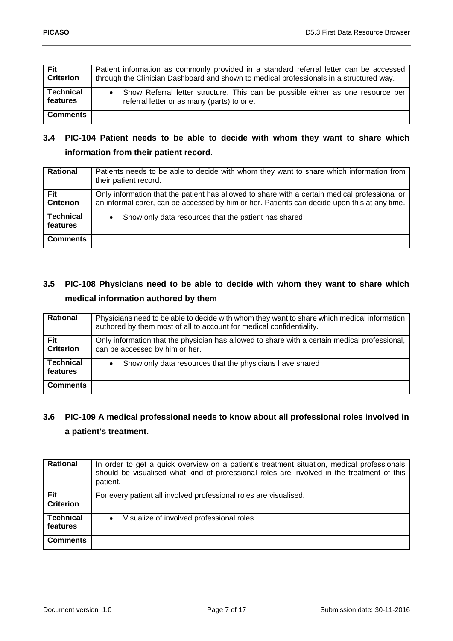| Fit              | Patient information as commonly provided in a standard referral letter can be accessed  |
|------------------|-----------------------------------------------------------------------------------------|
| <b>Criterion</b> | through the Clinician Dashboard and shown to medical professionals in a structured way. |
| <b>Technical</b> | Show Referral letter structure. This can be possible either as one resource per         |
| features         | referral letter or as many (parts) to one.                                              |
| <b>Comments</b>  |                                                                                         |

# <span id="page-6-0"></span>**3.4 PIC-104 Patient needs to be able to decide with whom they want to share which information from their patient record.**

| <b>Rational</b>  | Patients needs to be able to decide with whom they want to share which information from<br>their patient record. |
|------------------|------------------------------------------------------------------------------------------------------------------|
| Fit              | Only information that the patient has allowed to share with a certain medical professional or                    |
| <b>Criterion</b> | an informal carer, can be accessed by him or her. Patients can decide upon this at any time.                     |
| <b>Technical</b> | Show only data resources that the patient has shared                                                             |
| features         | $\bullet$                                                                                                        |
| <b>Comments</b>  |                                                                                                                  |

# <span id="page-6-1"></span>**3.5 PIC-108 Physicians need to be able to decide with whom they want to share which medical information authored by them**

| <b>Rational</b>  | Physicians need to be able to decide with whom they want to share which medical information<br>authored by them most of all to account for medical confidentiality. |
|------------------|---------------------------------------------------------------------------------------------------------------------------------------------------------------------|
| Fit              | Only information that the physician has allowed to share with a certain medical professional,                                                                       |
| <b>Criterion</b> | can be accessed by him or her.                                                                                                                                      |
| <b>Technical</b> | Show only data resources that the physicians have shared                                                                                                            |
| features         | $\bullet$                                                                                                                                                           |
| <b>Comments</b>  |                                                                                                                                                                     |

# <span id="page-6-2"></span>**3.6 PIC-109 A medical professional needs to know about all professional roles involved in a patient's treatment.**

| <b>Rational</b>              | In order to get a quick overview on a patient's treatment situation, medical professionals<br>should be visualised what kind of professional roles are involved in the treatment of this<br>patient. |
|------------------------------|------------------------------------------------------------------------------------------------------------------------------------------------------------------------------------------------------|
| Fit<br><b>Criterion</b>      | For every patient all involved professional roles are visualised.                                                                                                                                    |
| <b>Technical</b><br>features | Visualize of involved professional roles                                                                                                                                                             |
| <b>Comments</b>              |                                                                                                                                                                                                      |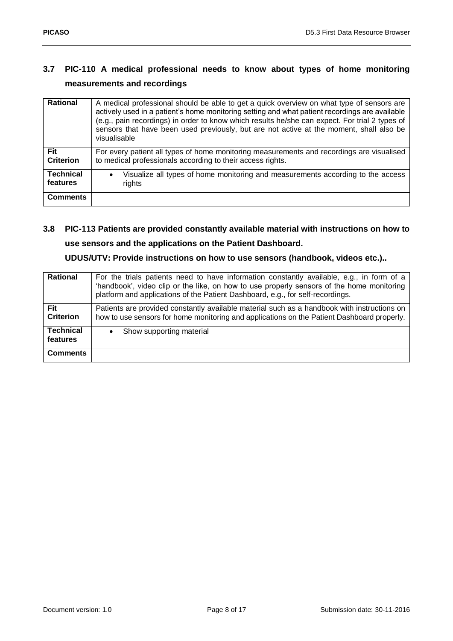# <span id="page-7-0"></span>**3.7 PIC-110 A medical professional needs to know about types of home monitoring measurements and recordings**

| <b>Rational</b>                | A medical professional should be able to get a quick overview on what type of sensors are<br>actively used in a patient's home monitoring setting and what patient recordings are available<br>(e.g., pain recordings) in order to know which results he/she can expect. For trial 2 types of<br>sensors that have been used previously, but are not active at the moment, shall also be<br>visualisable |
|--------------------------------|----------------------------------------------------------------------------------------------------------------------------------------------------------------------------------------------------------------------------------------------------------------------------------------------------------------------------------------------------------------------------------------------------------|
| <b>Fit</b><br><b>Criterion</b> | For every patient all types of home monitoring measurements and recordings are visualised<br>to medical professionals according to their access rights.                                                                                                                                                                                                                                                  |
| <b>Technical</b><br>features   | Visualize all types of home monitoring and measurements according to the access<br>$\bullet$<br>rights                                                                                                                                                                                                                                                                                                   |
| <b>Comments</b>                |                                                                                                                                                                                                                                                                                                                                                                                                          |

# <span id="page-7-1"></span>**3.8 PIC-113 Patients are provided constantly available material with instructions on how to use sensors and the applications on the Patient Dashboard.**

# **UDUS/UTV: Provide instructions on how to use sensors (handbook, videos etc.)..**

| Rational                       | For the trials patients need to have information constantly available, e.g., in form of a<br>'handbook', video clip or the like, on how to use properly sensors of the home monitoring<br>platform and applications of the Patient Dashboard, e.g., for self-recordings. |
|--------------------------------|--------------------------------------------------------------------------------------------------------------------------------------------------------------------------------------------------------------------------------------------------------------------------|
| <b>Fit</b><br><b>Criterion</b> | Patients are provided constantly available material such as a handbook with instructions on<br>how to use sensors for home monitoring and applications on the Patient Dashboard properly.                                                                                |
| <b>Technical</b><br>features   | Show supporting material                                                                                                                                                                                                                                                 |
| <b>Comments</b>                |                                                                                                                                                                                                                                                                          |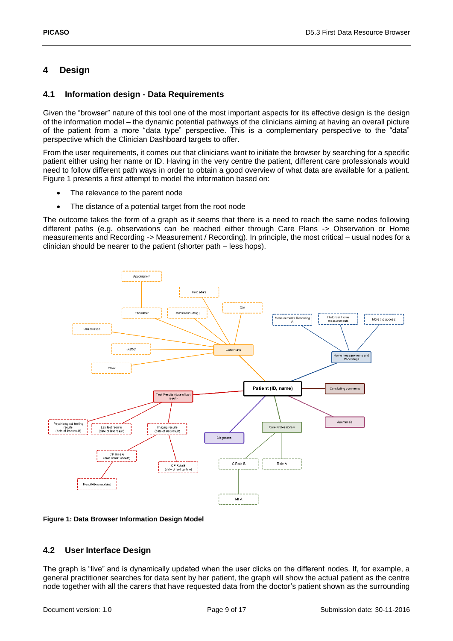# <span id="page-8-0"></span>**4 Design**

### <span id="page-8-1"></span>**4.1 Information design - Data Requirements**

Given the "browser" nature of this tool one of the most important aspects for its effective design is the design of the information model – the dynamic potential pathways of the clinicians aiming at having an overall picture of the patient from a more "data type" perspective. This is a complementary perspective to the "data" perspective which the Clinician Dashboard targets to offer.

From the user requirements, it comes out that clinicians want to initiate the browser by searching for a specific patient either using her name or ID. Having in the very centre the patient, different care professionals would need to follow different path ways in order to obtain a good overview of what data are available for a patient. [Figure 1](#page-8-3) presents a first attempt to model the information based on:

- The relevance to the parent node
- The distance of a potential target from the root node

The outcome takes the form of a graph as it seems that there is a need to reach the same nodes following different paths (e.g. observations can be reached either through Care Plans -> Observation or Home measurements and Recording -> Measurement / Recording). In principle, the most critical – usual nodes for a clinician should be nearer to the patient (shorter path – less hops).



<span id="page-8-3"></span>**Figure 1: Data Browser Information Design Model**

## <span id="page-8-2"></span>**4.2 User Interface Design**

The graph is "live" and is dynamically updated when the user clicks on the different nodes. If, for example, a general practitioner searches for data sent by her patient, the graph will show the actual patient as the centre node together with all the carers that have requested data from the doctor's patient shown as the surrounding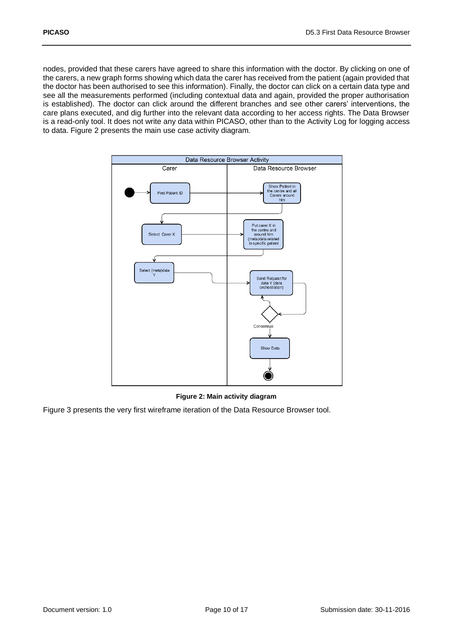nodes, provided that these carers have agreed to share this information with the doctor. By clicking on one of the carers, a new graph forms showing which data the carer has received from the patient (again provided that the doctor has been authorised to see this information). Finally, the doctor can click on a certain data type and see all the measurements performed (including contextual data and again, provided the proper authorisation is established). The doctor can click around the different branches and see other carers' interventions, the care plans executed, and dig further into the relevant data according to her access rights. The Data Browser is a read-only tool. It does not write any data within PICASO, other than to the Activity Log for logging access to data. [Figure 2](#page-9-0) presents the main use case activity diagram.



**Figure 2: Main activity diagram**

<span id="page-9-0"></span>[Figure 3](#page-10-0) presents the very first wireframe iteration of the Data Resource Browser tool.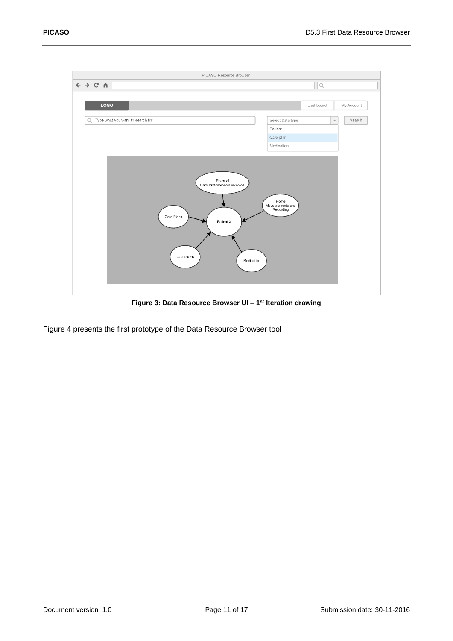

**Figure 3: Data Resource Browser UI – 1 st Iteration drawing**

<span id="page-10-0"></span>[Figure 4](#page-11-1) presents the first prototype of the Data Resource Browser tool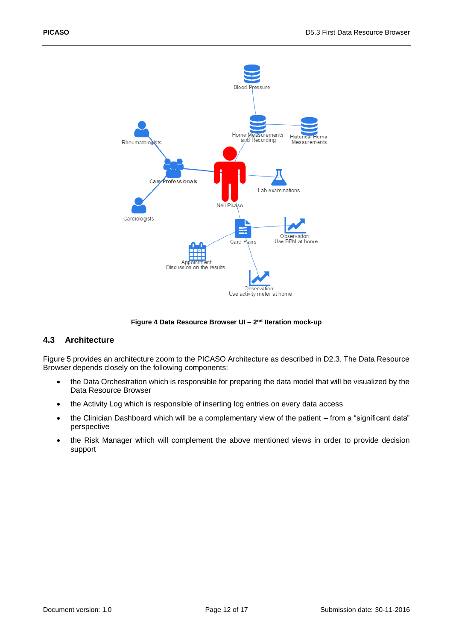

#### **Figure 4 Data Resource Browser UI - 2<sup>nd</sup> Iteration mock-up**

#### <span id="page-11-1"></span><span id="page-11-0"></span>**4.3 Architecture**

[Figure 5](#page-12-0) provides an architecture zoom to the PICASO Architecture as described in D2.3. The Data Resource Browser depends closely on the following components:

- the Data Orchestration which is responsible for preparing the data model that will be visualized by the Data Resource Browser
- the Activity Log which is responsible of inserting log entries on every data access
- the Clinician Dashboard which will be a complementary view of the patient from a "significant data" perspective
- the Risk Manager which will complement the above mentioned views in order to provide decision support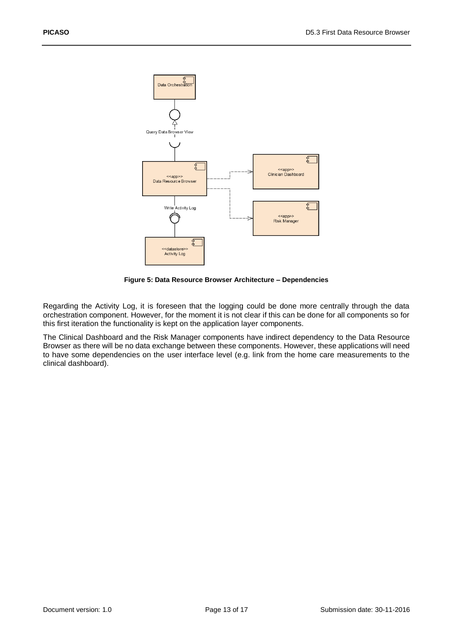

**Figure 5: Data Resource Browser Architecture – Dependencies**

<span id="page-12-0"></span>Regarding the Activity Log, it is foreseen that the logging could be done more centrally through the data orchestration component. However, for the moment it is not clear if this can be done for all components so for this first iteration the functionality is kept on the application layer components.

The Clinical Dashboard and the Risk Manager components have indirect dependency to the Data Resource Browser as there will be no data exchange between these components. However, these applications will need to have some dependencies on the user interface level (e.g. link from the home care measurements to the clinical dashboard).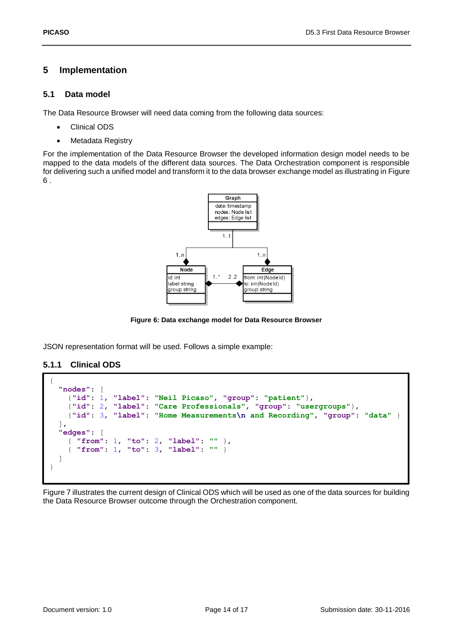### <span id="page-13-0"></span>**5 Implementation**

#### <span id="page-13-1"></span>**5.1 Data model**

The Data Resource Browser will need data coming from the following data sources:

- Clinical ODS
- Metadata Registry

For the implementation of the Data Resource Browser the developed information design model needs to be mapped to the data models of the different data sources. The Data Orchestration component is responsible for delivering such a unified model and transform it to the data browser exchange model as illustrating i[n Figure](#page-13-3)  [6](#page-13-3) .



**Figure 6: Data exchange model for Data Resource Browser**

<span id="page-13-3"></span>JSON representation format will be used. Follows a simple example:

### <span id="page-13-2"></span>**5.1.1 Clinical ODS**

```
{
   "nodes": [
     {"id": 1, "label": "Neil Picaso", "group": "patient"},
     {"id": 2, "label": "Care Professionals", "group": "usergroups"},
     {"id": 3, "label": "Home Measurements\n and Recording", "group": "data" }
  ],
  "edges": [
     { "from": 1, "to": 2, "label": "" },
     { "from": 1, "to": 3, "label": "" }
  ]
}
```
[Figure 7](#page-14-4) illustrates the current design of Clinical ODS which will be used as one of the data sources for building the Data Resource Browser outcome through the Orchestration component.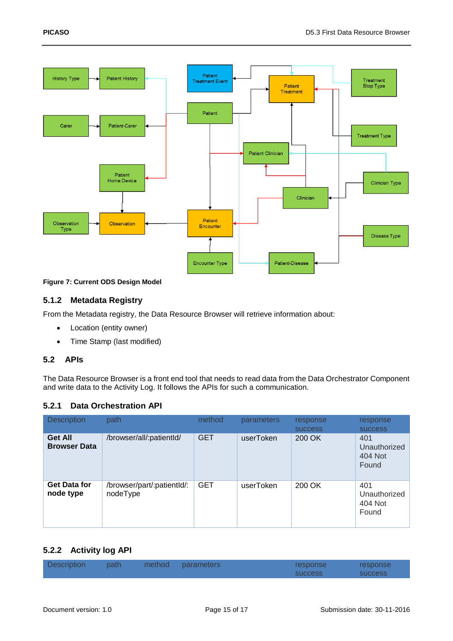

### <span id="page-14-4"></span>**Figure 7: Current ODS Design Model**

#### <span id="page-14-0"></span>**5.1.2 Metadata Registry**

From the Metadata registry, the Data Resource Browser will retrieve information about:

- Location (entity owner)
- Time Stamp (last modified)

#### <span id="page-14-1"></span>**5.2 APIs**

The Data Resource Browser is a front end tool that needs to read data from the Data Orchestrator Component and write data to the Activity Log. It follows the APIs for such a communication.

#### <span id="page-14-2"></span>**5.2.1 Data Orchestration API**

| <b>Description</b>                    | path                                   | method     | parameters | response<br><b>SUCCESS</b> | response<br><b>SUCCESS</b>              |
|---------------------------------------|----------------------------------------|------------|------------|----------------------------|-----------------------------------------|
| <b>Get All</b><br><b>Browser Data</b> | /browser/all/:patientId/               | <b>GET</b> | userToken  | 200 OK                     | 401<br>Unauthorized<br>404 Not<br>Found |
| <b>Get Data for</b><br>node type      | /browser/part/:patientId/:<br>nodeType | <b>GET</b> | userToken  | 200 OK                     | 401<br>Unauthorized<br>404 Not<br>Found |

### <span id="page-14-3"></span>**5.2.2 Activity log API**

| <b>Description</b> | path | method parameters | response       | <b>response</b> |
|--------------------|------|-------------------|----------------|-----------------|
|                    |      |                   | <b>SUCCESS</b> | <b>SUCCESS</b>  |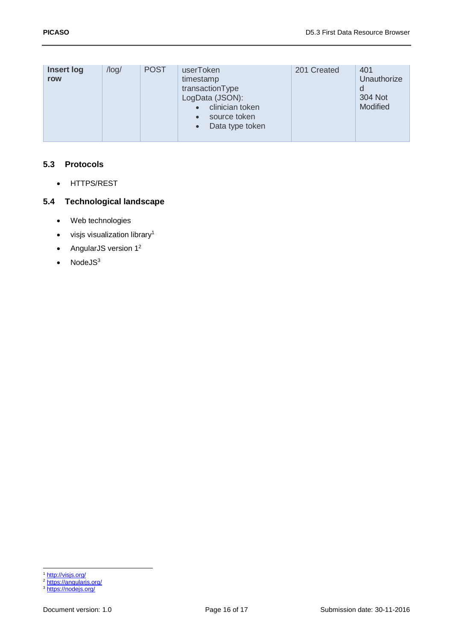| Insert log<br>row | $\log$ | <b>POST</b> | userToken<br>timestamp<br>transactionType<br>LogData (JSON):<br>clinician token<br>source token<br>Data type token<br>$\bullet$ | 201 Created | 401<br>Unauthorize<br>304 Not<br>Modified |
|-------------------|--------|-------------|---------------------------------------------------------------------------------------------------------------------------------|-------------|-------------------------------------------|
|-------------------|--------|-------------|---------------------------------------------------------------------------------------------------------------------------------|-------------|-------------------------------------------|

### <span id="page-15-0"></span>**5.3 Protocols**

• HTTPS/REST

# <span id="page-15-1"></span>**5.4 Technological landscape**

- Web technologies
- $\bullet$  visjs visualization library<sup>1</sup>
- AngularJS version  $1^2$
- NodeJS<sup>3</sup>

1 <http://visjs.org/>

<sup>&</sup>lt;sup>2</sup> <https://angularjs.org/>

<sup>&</sup>lt;sup>3</sup> <https://nodejs.org/>